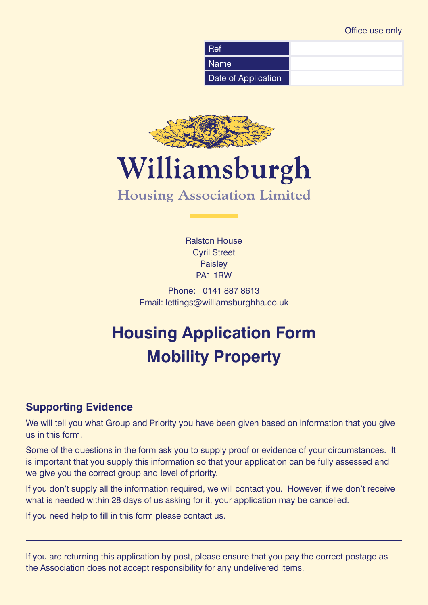Office use only

| ∣ Ref               |  |
|---------------------|--|
| l Name              |  |
| Date of Application |  |



Williamsburgh **Housing Association Limited** 

> Ralston House Cyril Street **Paisley** PA1 1RW

Limited

Phone: 0141 887 8613 Email: lettings@williamsburghha.co.uk

# **Housing Application Form Mobility Property**

#### **Supporting Evidence**

We will tell you what Group and Priority you have been given based on information that you give us in this form.

Some of the questions in the form ask you to supply proof or evidence of your circumstances. It is important that you supply this information so that your application can be fully assessed and we give you the correct group and level of priority.

If you don't supply all the information required, we will contact you. However, if we don't receive what is needed within 28 days of us asking for it, your application may be cancelled.

If you need help to fill in this form please contact us.

If you are returning this application by post, please ensure that you pay the correct postage as the Association does not accept responsibility for any undelivered items.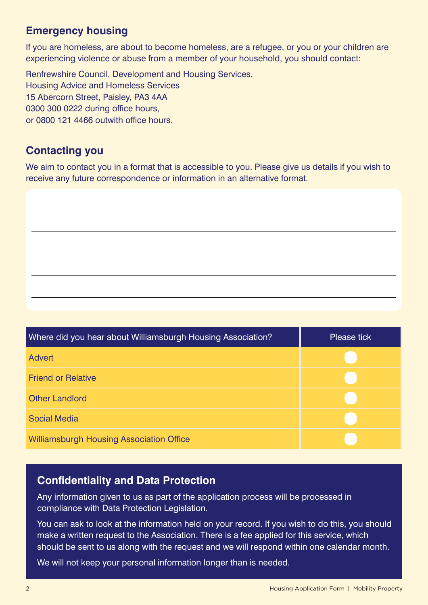#### **Emergency housing**

If you are homeless, are about to become homeless, are a refugee, or you or your children are experiencing violence or abuse from a member of your household, you should contact:

Renfrewshire Council, Development and Housing Services, Housing Advice and Homeless Services 15 Abercorn Street, Paisley, PA3 4AA 0300 300 0222 during office hours, or 0800 121 4466 outwith office hours.

#### **Contacting you**

We aim to contact you in a format that is accessible to you. Please give us details if you wish to receive any future correspondence or information in an alternative format.



| Where did you hear about Williamsburgh Housing Association? | <b>Please tick</b> |
|-------------------------------------------------------------|--------------------|
| <b>Advert</b>                                               |                    |
| <b>Friend or Relative</b>                                   |                    |
| <b>Other Landlord</b>                                       |                    |
| <b>Social Media</b>                                         |                    |
| <b>Williamsburgh Housing Association Office</b>             |                    |

#### **Confidentiality and Data Protection**

Any information given to us as part of the application process will be processed in compliance with Data Protection Legislation.

You can ask to look at the information held on your record. If you wish to do this, you should make a written request to the Association. There is a fee applied for this service, which should be sent to us along with the request and we will respond within one calendar month.

We will not keep your personal information longer than is needed.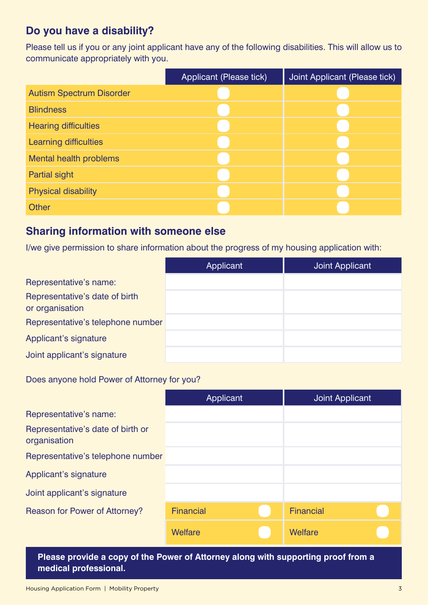## **Do you have a disability?**

Please tell us if you or any joint applicant have any of the following disabilities. This will allow us to communicate appropriately with you.

|                                 | Applicant (Please tick) | Joint Applicant (Please tick) |
|---------------------------------|-------------------------|-------------------------------|
| <b>Autism Spectrum Disorder</b> |                         |                               |
| <b>Blindness</b>                |                         |                               |
| <b>Hearing difficulties</b>     |                         |                               |
| <b>Learning difficulties</b>    |                         |                               |
| <b>Mental health problems</b>   |                         |                               |
| <b>Partial sight</b>            |                         |                               |
| <b>Physical disability</b>      |                         |                               |
| <b>Other</b>                    |                         |                               |

#### **Sharing information with someone else**

I/we give permission to share information about the progress of my housing application with:

|                                                   | Applicant | <b>Joint Applicant</b> |
|---------------------------------------------------|-----------|------------------------|
| Representative's name:                            |           |                        |
| Representative's date of birth<br>or organisation |           |                        |
| Representative's telephone number                 |           |                        |
| Applicant's signature                             |           |                        |
| Joint applicant's signature                       |           |                        |

Does anyone hold Power of Attorney for you?

|                                                   | Applicant        | Joint Applicant  |
|---------------------------------------------------|------------------|------------------|
| Representative's name:                            |                  |                  |
| Representative's date of birth or<br>organisation |                  |                  |
| Representative's telephone number                 |                  |                  |
| Applicant's signature                             |                  |                  |
| Joint applicant's signature                       |                  |                  |
| Reason for Power of Attorney?                     | <b>Financial</b> | <b>Financial</b> |
|                                                   | Welfare          | <b>Welfare</b>   |

**Please provide a copy of the Power of Attorney along with supporting proof from a medical professional.**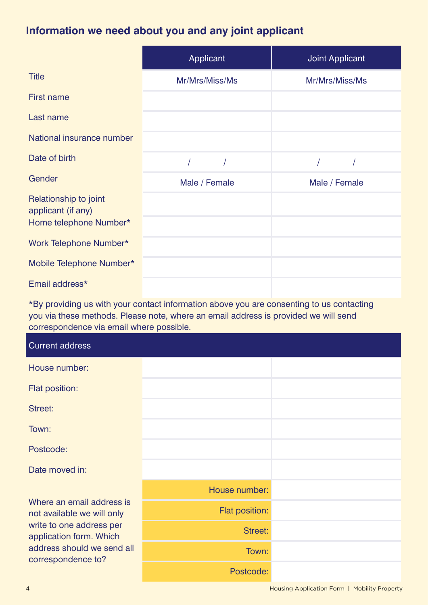# **Information we need about you and any joint applicant**

|                                             | Applicant      | <b>Joint Applicant</b> |
|---------------------------------------------|----------------|------------------------|
| <b>Title</b>                                | Mr/Mrs/Miss/Ms | Mr/Mrs/Miss/Ms         |
| <b>First name</b>                           |                |                        |
| Last name                                   |                |                        |
| National insurance number                   |                |                        |
| Date of birth                               | $\sqrt{2}$     |                        |
| Gender                                      | Male / Female  | Male / Female          |
| Relationship to joint<br>applicant (if any) |                |                        |
| Home telephone Number*                      |                |                        |
| Work Telephone Number*                      |                |                        |
| Mobile Telephone Number*                    |                |                        |
| Email address*                              |                |                        |

\*By providing us with your contact information above you are consenting to us contacting you via these methods. Please note, where an email address is provided we will send correspondence via email where possible.

| <b>Current address</b>                                                                                                                                             |                |  |
|--------------------------------------------------------------------------------------------------------------------------------------------------------------------|----------------|--|
| House number:                                                                                                                                                      |                |  |
| Flat position:                                                                                                                                                     |                |  |
| Street:                                                                                                                                                            |                |  |
| Town:                                                                                                                                                              |                |  |
| Postcode:                                                                                                                                                          |                |  |
| Date moved in:                                                                                                                                                     |                |  |
|                                                                                                                                                                    | House number:  |  |
| Where an email address is<br>not available we will only<br>write to one address per<br>application form. Which<br>address should we send all<br>correspondence to? | Flat position: |  |
|                                                                                                                                                                    | <b>Street:</b> |  |
|                                                                                                                                                                    | Town:          |  |
|                                                                                                                                                                    | Postcode:      |  |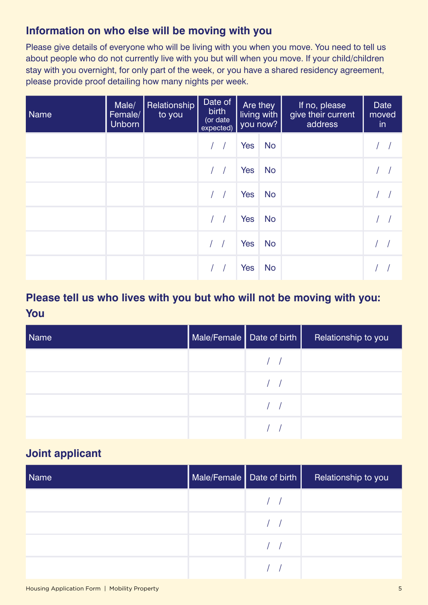#### **Information on who else will be moving with you**

Please give details of everyone who will be living with you when you move. You need to tell us about people who do not currently live with you but will when you move. If your child/children stay with you overnight, for only part of the week, or you have a shared residency agreement, please provide proof detailing how many nights per week.

| Name | Male/<br>Female/<br><b>Unborn</b> | Relationship<br>to you |               | Date of<br>birth<br>(or date<br>expected)     |     | Are they<br>living with<br>you now? | If no, please<br>give their current<br>address | Date<br>moved<br>in |
|------|-----------------------------------|------------------------|---------------|-----------------------------------------------|-----|-------------------------------------|------------------------------------------------|---------------------|
|      |                                   |                        |               |                                               | Yes | <b>No</b>                           |                                                |                     |
|      |                                   |                        |               | $\left  \quad \right $                        | Yes | <b>No</b>                           |                                                |                     |
|      |                                   |                        |               | $\frac{1}{2}$                                 | Yes | <b>No</b>                           |                                                |                     |
|      |                                   |                        |               | $\left  \begin{array}{c} \end{array} \right $ | Yes | <b>No</b>                           |                                                |                     |
|      |                                   |                        | $\frac{1}{2}$ |                                               | Yes | <b>No</b>                           |                                                |                     |
|      |                                   |                        |               |                                               | Yes | <b>No</b>                           |                                                |                     |

# **Please tell us who lives with you but who will not be moving with you: You**

| Name | Male/Female Date of birth | Relationship to you |
|------|---------------------------|---------------------|
|      |                           |                     |
|      |                           |                     |
|      |                           |                     |
|      |                           |                     |

#### **Joint applicant**

| Name | Male/Female   Date of birth | Relationship to you |
|------|-----------------------------|---------------------|
|      |                             |                     |
|      |                             |                     |
|      |                             |                     |
|      |                             |                     |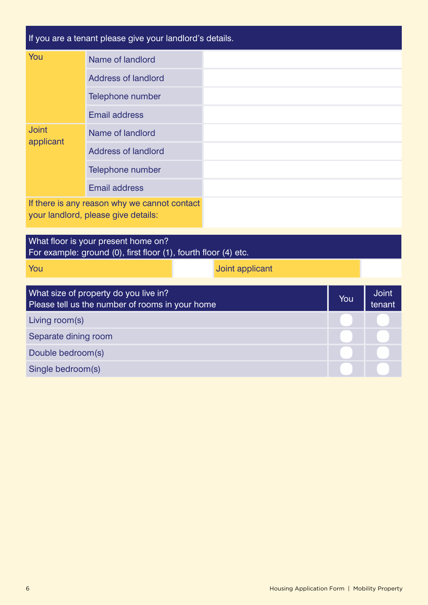|                           | If you are a tenant please give your landlord's details.                                               |                 |     |                        |
|---------------------------|--------------------------------------------------------------------------------------------------------|-----------------|-----|------------------------|
| You                       | Name of landlord                                                                                       |                 |     |                        |
|                           | <b>Address of landlord</b>                                                                             |                 |     |                        |
|                           | Telephone number                                                                                       |                 |     |                        |
|                           | <b>Email address</b>                                                                                   |                 |     |                        |
| <b>Joint</b><br>applicant | Name of landlord                                                                                       |                 |     |                        |
|                           | <b>Address of landlord</b>                                                                             |                 |     |                        |
|                           | Telephone number                                                                                       |                 |     |                        |
|                           | <b>Email address</b>                                                                                   |                 |     |                        |
|                           | If there is any reason why we cannot contact<br>your landlord, please give details:                    |                 |     |                        |
|                           | What floor is your present home on?<br>For example: ground (0), first floor (1), fourth floor (4) etc. |                 |     |                        |
| You                       |                                                                                                        | Joint applicant |     |                        |
|                           | What size of property do you live in?<br>Please tell us the number of rooms in your home               |                 | You | <b>Joint</b><br>tenant |
| Living room(s)            |                                                                                                        |                 |     |                        |
| Separate dining room      |                                                                                                        |                 |     |                        |
| Double bedroom(s)         |                                                                                                        |                 |     |                        |
| Single bedroom(s)         |                                                                                                        |                 |     |                        |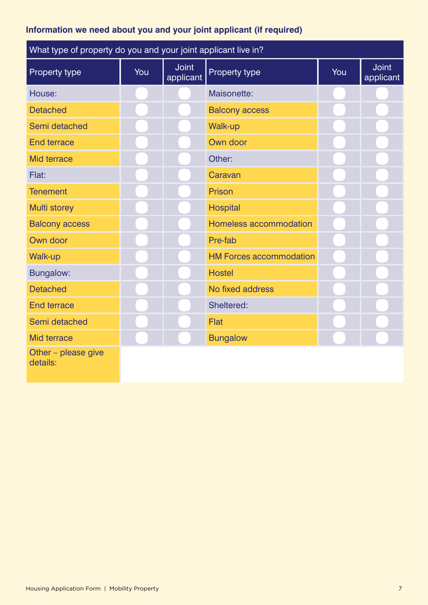#### **Information we need about you and your joint applicant (if required)**

| What type of property do you and your joint applicant live in? |     |                           |                                |     |                           |  |
|----------------------------------------------------------------|-----|---------------------------|--------------------------------|-----|---------------------------|--|
| Property type                                                  | You | <b>Joint</b><br>applicant | Property type                  | You | <b>Joint</b><br>applicant |  |
| House:                                                         |     |                           | Maisonette:                    |     |                           |  |
| <b>Detached</b>                                                |     |                           | <b>Balcony access</b>          |     |                           |  |
| Semi detached                                                  |     |                           | Walk-up                        |     |                           |  |
| <b>End terrace</b>                                             |     |                           | Own door                       |     |                           |  |
| Mid terrace                                                    |     |                           | Other:                         |     |                           |  |
| Flat:                                                          |     |                           | Caravan                        |     |                           |  |
| <b>Tenement</b>                                                |     |                           | <b>Prison</b>                  |     |                           |  |
| Multi storey                                                   |     |                           | Hospital                       |     |                           |  |
| <b>Balcony access</b>                                          |     |                           | Homeless accommodation         |     |                           |  |
| Own door                                                       |     |                           | Pre-fab                        |     |                           |  |
| <b>Walk-up</b>                                                 |     |                           | <b>HM Forces accommodation</b> |     |                           |  |
| <b>Bungalow:</b>                                               |     |                           | <b>Hostel</b>                  |     |                           |  |
| <b>Detached</b>                                                |     |                           | No fixed address               |     |                           |  |
| <b>End terrace</b>                                             |     |                           | Sheltered:                     |     |                           |  |
| Semi detached                                                  |     |                           | Flat                           |     |                           |  |
| Mid terrace                                                    |     |                           | <b>Bungalow</b>                |     |                           |  |
| Other - please give<br>details:                                |     |                           |                                |     |                           |  |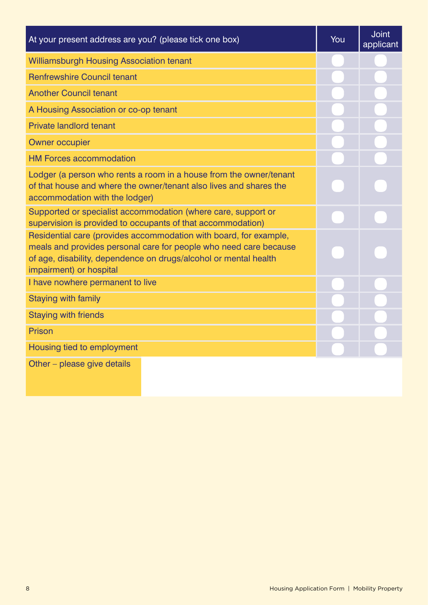| At your present address are you? (please tick one box)                                                                                                                                                                                | You | <b>Joint</b><br>applicant |
|---------------------------------------------------------------------------------------------------------------------------------------------------------------------------------------------------------------------------------------|-----|---------------------------|
| <b>Williamsburgh Housing Association tenant</b>                                                                                                                                                                                       |     |                           |
| <b>Renfrewshire Council tenant</b>                                                                                                                                                                                                    |     |                           |
| <b>Another Council tenant</b>                                                                                                                                                                                                         |     |                           |
| A Housing Association or co-op tenant                                                                                                                                                                                                 |     |                           |
| <b>Private landlord tenant</b>                                                                                                                                                                                                        |     |                           |
| <b>Owner occupier</b>                                                                                                                                                                                                                 |     |                           |
| <b>HM Forces accommodation</b>                                                                                                                                                                                                        |     |                           |
| Lodger (a person who rents a room in a house from the owner/tenant<br>of that house and where the owner/tenant also lives and shares the<br>accommodation with the lodger)                                                            |     |                           |
| Supported or specialist accommodation (where care, support or<br>supervision is provided to occupants of that accommodation)                                                                                                          |     |                           |
| Residential care (provides accommodation with board, for example,<br>meals and provides personal care for people who need care because<br>of age, disability, dependence on drugs/alcohol or mental health<br>impairment) or hospital |     |                           |
| I have nowhere permanent to live                                                                                                                                                                                                      |     |                           |
| <b>Staying with family</b>                                                                                                                                                                                                            |     |                           |
| <b>Staying with friends</b>                                                                                                                                                                                                           |     |                           |
| <b>Prison</b>                                                                                                                                                                                                                         |     |                           |
| Housing tied to employment                                                                                                                                                                                                            |     |                           |
| Other - please give details                                                                                                                                                                                                           |     |                           |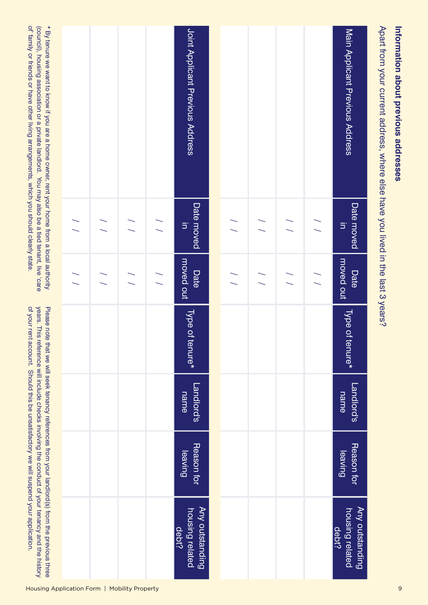# Information about previous addresses **Information about previous addresses**

Apart from your current address, where else have you lived in the last 3 years? Apart from your current address, where else have you lived in the last 3 years?

| Main Applicant Previous Address  | Date moved<br>$\equiv$   | moved out<br>Date        | Type of tenure* | Landlord's<br>name        | Reason for<br>leaving | Any outstanding<br>housing related<br>debt? |
|----------------------------------|--------------------------|--------------------------|-----------------|---------------------------|-----------------------|---------------------------------------------|
|                                  | $\frac{1}{2}$            | $\frac{1}{2}$            |                 |                           |                       |                                             |
|                                  | $\overline{\phantom{a}}$ | $\frac{1}{2}$            |                 |                           |                       |                                             |
|                                  | $\frac{1}{2}$            | $\frac{1}{\sqrt{2}}$     |                 |                           |                       |                                             |
|                                  | $\frac{1}{2}$            | $\frac{1}{2}$            |                 |                           |                       |                                             |
| Joint Applicant Previous Address | Date moved<br>$\exists$  | moved out<br>Date        | Type of tenure* | <b>Landlord's</b><br>name | Reason for<br>leaving | Any outstanding<br>housing related<br>debt? |
|                                  | $\frac{1}{2}$            | $\frac{1}{2}$            |                 |                           |                       |                                             |
|                                  | $\frac{1}{2}$            | $\frac{1}{2}$            |                 |                           |                       |                                             |
|                                  | $\frac{1}{2}$            | $\frac{1}{2}$            |                 |                           |                       |                                             |
|                                  | $\overline{\phantom{a}}$ | $\overline{\phantom{0}}$ |                 |                           |                       |                                             |

of family or friends or have other living arrangements, which you should clearly state. \* By tenure we want to know if you are a home owner, rent your home from a local authority (council), housing association or a private landlord. You may also be a tied tenant, live 'care of' family or friends or have other living arrangements, which you should clearly state. \* By tenure we want to know if you are a home owner, rent your home from a local authority (council), housing association or a private landlord. You may also be a tied tenant, live 'care

of your rent account. Should this be unsatisfactory we will suspend your application. years. This reference will include checks involving the conduct of your tenancy and the history Please note that we will seek tenancy references from your landlord(s) from the previous three of your rent account. Should this be unsatisfactory we will suspend your application. years. This reference will include checks involving the conduct of your tenancy and the history Please note that we will seek tenancy references from your landlord(s) from the previous three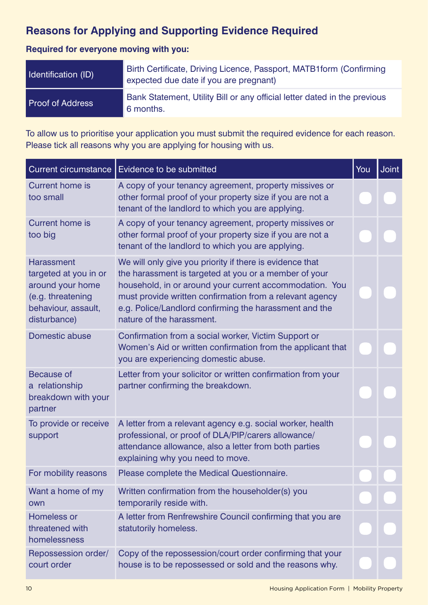# **Reasons for Applying and Supporting Evidence Required**

#### **Required for everyone moving with you:**

| Identification (ID)     | Birth Certificate, Driving Licence, Passport, MATB1form (Confirming<br>expected due date if you are pregnant) |
|-------------------------|---------------------------------------------------------------------------------------------------------------|
| <b>Proof of Address</b> | Bank Statement, Utility Bill or any official letter dated in the previous<br>6 months.                        |

To allow us to prioritise your application you must submit the required evidence for each reason. Please tick all reasons why you are applying for housing with us.

| <b>Current circumstance</b>                                                                                         | Evidence to be submitted                                                                                                                                                                                                                                                                                                        | You | <b>Joint</b> |
|---------------------------------------------------------------------------------------------------------------------|---------------------------------------------------------------------------------------------------------------------------------------------------------------------------------------------------------------------------------------------------------------------------------------------------------------------------------|-----|--------------|
| Current home is<br>too small                                                                                        | A copy of your tenancy agreement, property missives or<br>other formal proof of your property size if you are not a<br>tenant of the landlord to which you are applying.                                                                                                                                                        |     |              |
| <b>Current home is</b><br>too big                                                                                   | A copy of your tenancy agreement, property missives or<br>other formal proof of your property size if you are not a<br>tenant of the landlord to which you are applying.                                                                                                                                                        |     |              |
| Harassment<br>targeted at you in or<br>around your home<br>(e.g. threatening<br>behaviour, assault,<br>disturbance) | We will only give you priority if there is evidence that<br>the harassment is targeted at you or a member of your<br>household, in or around your current accommodation. You<br>must provide written confirmation from a relevant agency<br>e.g. Police/Landlord confirming the harassment and the<br>nature of the harassment. |     |              |
| Domestic abuse                                                                                                      | Confirmation from a social worker, Victim Support or<br>Women's Aid or written confirmation from the applicant that<br>you are experiencing domestic abuse.                                                                                                                                                                     |     |              |
| <b>Because of</b><br>a relationship<br>breakdown with your<br>partner                                               | Letter from your solicitor or written confirmation from your<br>partner confirming the breakdown.                                                                                                                                                                                                                               |     |              |
| To provide or receive<br>support                                                                                    | A letter from a relevant agency e.g. social worker, health<br>professional, or proof of DLA/PIP/carers allowance/<br>attendance allowance, also a letter from both parties<br>explaining why you need to move.                                                                                                                  |     |              |
| For mobility reasons                                                                                                | Please complete the Medical Questionnaire.                                                                                                                                                                                                                                                                                      |     |              |
| Want a home of my<br>own                                                                                            | Written confirmation from the householder(s) you<br>temporarily reside with.                                                                                                                                                                                                                                                    |     |              |
| Homeless or<br>threatened with<br>homelessness                                                                      | A letter from Renfrewshire Council confirming that you are<br>statutorily homeless.                                                                                                                                                                                                                                             |     |              |
| Repossession order/<br>court order                                                                                  | Copy of the repossession/court order confirming that your<br>house is to be repossessed or sold and the reasons why.                                                                                                                                                                                                            |     |              |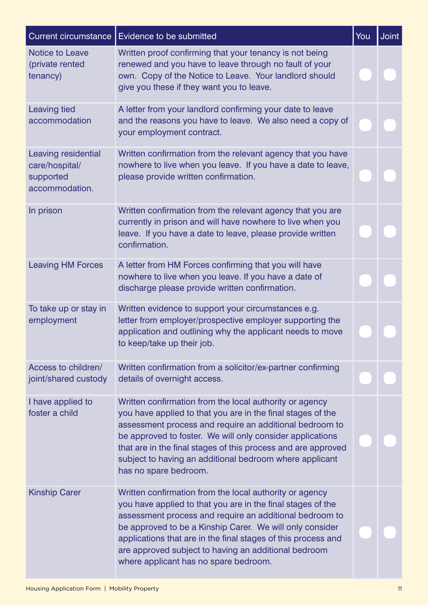| <b>Current circumstance</b>                                          | Evidence to be submitted                                                                                                                                                                                                                                                                                                                                                                                        | You | <b>Joint</b> |
|----------------------------------------------------------------------|-----------------------------------------------------------------------------------------------------------------------------------------------------------------------------------------------------------------------------------------------------------------------------------------------------------------------------------------------------------------------------------------------------------------|-----|--------------|
| <b>Notice to Leave</b><br>(private rented<br>tenancy)                | Written proof confirming that your tenancy is not being<br>renewed and you have to leave through no fault of your<br>own. Copy of the Notice to Leave. Your landlord should<br>give you these if they want you to leave.                                                                                                                                                                                        |     |              |
| <b>Leaving tied</b><br>accommodation                                 | A letter from your landlord confirming your date to leave<br>and the reasons you have to leave. We also need a copy of<br>your employment contract.                                                                                                                                                                                                                                                             |     |              |
| Leaving residential<br>care/hospital/<br>supported<br>accommodation. | Written confirmation from the relevant agency that you have<br>nowhere to live when you leave. If you have a date to leave,<br>please provide written confirmation.                                                                                                                                                                                                                                             |     |              |
| In prison                                                            | Written confirmation from the relevant agency that you are<br>currently in prison and will have nowhere to live when you<br>leave. If you have a date to leave, please provide written<br>confirmation.                                                                                                                                                                                                         |     |              |
| <b>Leaving HM Forces</b>                                             | A letter from HM Forces confirming that you will have<br>nowhere to live when you leave. If you have a date of<br>discharge please provide written confirmation.                                                                                                                                                                                                                                                |     |              |
| To take up or stay in<br>employment                                  | Written evidence to support your circumstances e.g.<br>letter from employer/prospective employer supporting the<br>application and outlining why the applicant needs to move<br>to keep/take up their job.                                                                                                                                                                                                      |     |              |
| Access to children/<br>joint/shared custody                          | Written confirmation from a solicitor/ex-partner confirming<br>details of overnight access.                                                                                                                                                                                                                                                                                                                     |     |              |
| I have applied to<br>foster a child                                  | Written confirmation from the local authority or agency<br>you have applied to that you are in the final stages of the<br>assessment process and require an additional bedroom to<br>be approved to foster. We will only consider applications<br>that are in the final stages of this process and are approved<br>subject to having an additional bedroom where applicant<br>has no spare bedroom.             |     |              |
| <b>Kinship Carer</b>                                                 | Written confirmation from the local authority or agency<br>you have applied to that you are in the final stages of the<br>assessment process and require an additional bedroom to<br>be approved to be a Kinship Carer. We will only consider<br>applications that are in the final stages of this process and<br>are approved subject to having an additional bedroom<br>where applicant has no spare bedroom. |     |              |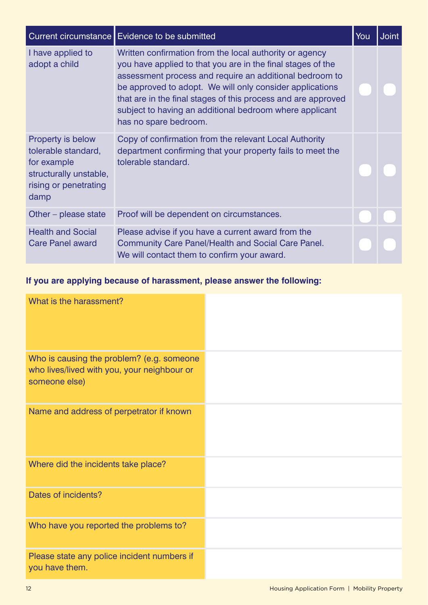|                                                                                                                    | Current circumstance Evidence to be submitted                                                                                                                                                                                                                                                                                                                                                      | You | <b>Joint</b> |
|--------------------------------------------------------------------------------------------------------------------|----------------------------------------------------------------------------------------------------------------------------------------------------------------------------------------------------------------------------------------------------------------------------------------------------------------------------------------------------------------------------------------------------|-----|--------------|
| I have applied to<br>adopt a child                                                                                 | Written confirmation from the local authority or agency<br>you have applied to that you are in the final stages of the<br>assessment process and require an additional bedroom to<br>be approved to adopt. We will only consider applications<br>that are in the final stages of this process and are approved<br>subject to having an additional bedroom where applicant<br>has no spare bedroom. |     |              |
| Property is below<br>tolerable standard,<br>for example<br>structurally unstable,<br>rising or penetrating<br>damp | Copy of confirmation from the relevant Local Authority<br>department confirming that your property fails to meet the<br>tolerable standard.                                                                                                                                                                                                                                                        |     |              |
| Other – please state                                                                                               | Proof will be dependent on circumstances.                                                                                                                                                                                                                                                                                                                                                          |     |              |
| <b>Health and Social</b><br><b>Care Panel award</b>                                                                | Please advise if you have a current award from the<br><b>Community Care Panel/Health and Social Care Panel.</b><br>We will contact them to confirm your award.                                                                                                                                                                                                                                     |     |              |

#### **If you are applying because of harassment, please answer the following:**

| What is the harassment?                                                                                   |  |
|-----------------------------------------------------------------------------------------------------------|--|
| Who is causing the problem? (e.g. someone<br>who lives/lived with you, your neighbour or<br>someone else) |  |
| Name and address of perpetrator if known                                                                  |  |
| Where did the incidents take place?                                                                       |  |
| Dates of incidents?                                                                                       |  |
| Who have you reported the problems to?                                                                    |  |
| Please state any police incident numbers if<br>you have them.                                             |  |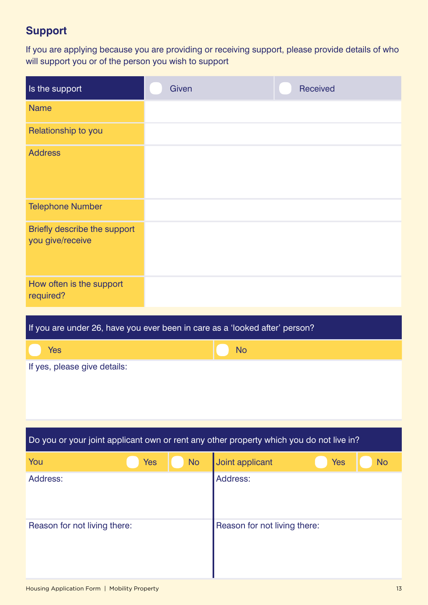# **Support**

If you are applying because you are providing or receiving support, please provide details of who will support you or of the person you wish to support

| Is the support                                                                          | Given            |                              | <b>Received</b> |           |
|-----------------------------------------------------------------------------------------|------------------|------------------------------|-----------------|-----------|
| <b>Name</b>                                                                             |                  |                              |                 |           |
| Relationship to you                                                                     |                  |                              |                 |           |
| <b>Address</b>                                                                          |                  |                              |                 |           |
| <b>Telephone Number</b>                                                                 |                  |                              |                 |           |
| Briefly describe the support<br>you give/receive                                        |                  |                              |                 |           |
| How often is the support<br>required?                                                   |                  |                              |                 |           |
| If you are under 26, have you ever been in care as a 'looked after' person?             |                  |                              |                 |           |
| <b>Yes</b>                                                                              |                  | <b>No</b>                    |                 |           |
| If yes, please give details:                                                            |                  |                              |                 |           |
| Do you or your joint applicant own or rent any other property which you do not live in? |                  |                              |                 |           |
| You                                                                                     | <b>No</b><br>Yes | Joint applicant              | <b>Yes</b>      | <b>No</b> |
| Address:                                                                                |                  | Address:                     |                 |           |
| Reason for not living there:                                                            |                  | Reason for not living there: |                 |           |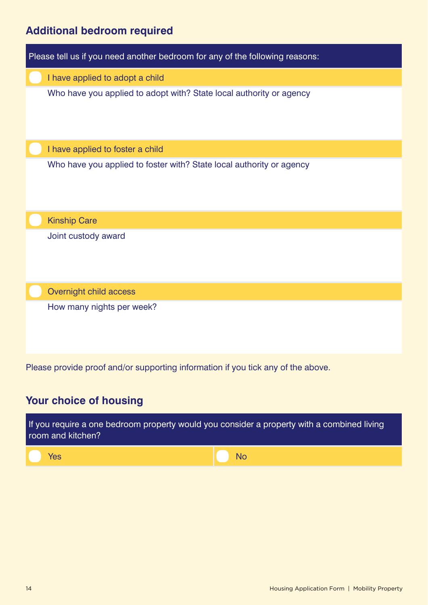#### **Additional bedroom required**



Please provide proof and/or supporting information if you tick any of the above.

#### **Your choice of housing**

If you require a one bedroom property would you consider a property with a combined living room and kitchen? Yes and the state of the state of the state  $\begin{bmatrix} 0 & \text{No} \end{bmatrix}$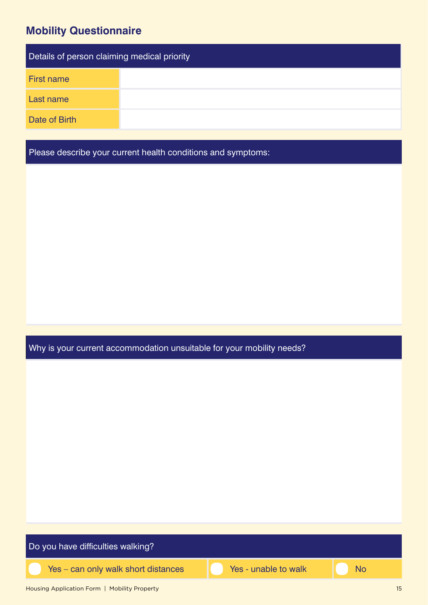# **Mobility Questionnaire**

| Details of person claiming medical priority |  |
|---------------------------------------------|--|
| First name                                  |  |
| Last name                                   |  |
| Date of Birth                               |  |

Please describe your current health conditions and symptoms:

Why is your current accommodation unsuitable for your mobility needs?

| Do you have difficulties walking?   |                      |           |
|-------------------------------------|----------------------|-----------|
| Yes - can only walk short distances | Yes - unable to walk | <b>No</b> |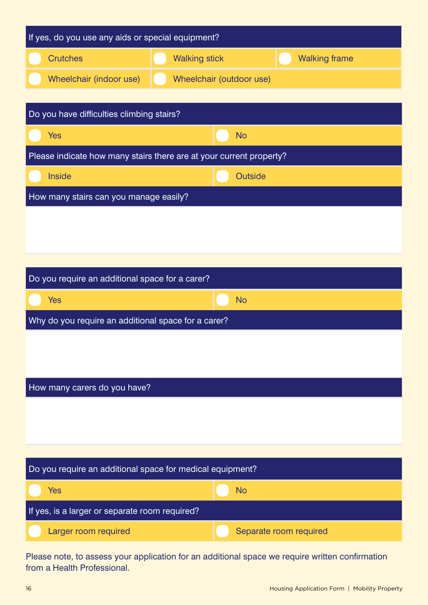| If yes, do you use any aids or special equipment?                   |                        |  |  |  |
|---------------------------------------------------------------------|------------------------|--|--|--|
| <b>Crutches</b><br><b>Walking stick</b>                             | <b>Walking frame</b>   |  |  |  |
| Wheelchair (outdoor use)<br>Wheelchair (indoor use)                 |                        |  |  |  |
|                                                                     |                        |  |  |  |
| Do you have difficulties climbing stairs?                           |                        |  |  |  |
| <b>Yes</b>                                                          | <b>No</b>              |  |  |  |
| Please indicate how many stairs there are at your current property? |                        |  |  |  |
| <b>Inside</b>                                                       | <b>Outside</b>         |  |  |  |
| How many stairs can you manage easily?                              |                        |  |  |  |
|                                                                     |                        |  |  |  |
|                                                                     |                        |  |  |  |
|                                                                     |                        |  |  |  |
| Do you require an additional space for a carer?                     |                        |  |  |  |
| <b>Yes</b>                                                          | <b>No</b>              |  |  |  |
| Why do you require an additional space for a carer?                 |                        |  |  |  |
|                                                                     |                        |  |  |  |
|                                                                     |                        |  |  |  |
| How many carers do you have?                                        |                        |  |  |  |
|                                                                     |                        |  |  |  |
|                                                                     |                        |  |  |  |
|                                                                     |                        |  |  |  |
| Do you require an additional space for medical equipment?           |                        |  |  |  |
| <b>Yes</b>                                                          | <b>No</b>              |  |  |  |
| If yes, is a larger or separate room required?                      |                        |  |  |  |
| Larger room required                                                | Separate room required |  |  |  |

Please note, to assess your application for an additional space we require written confirmation from a Health Professional.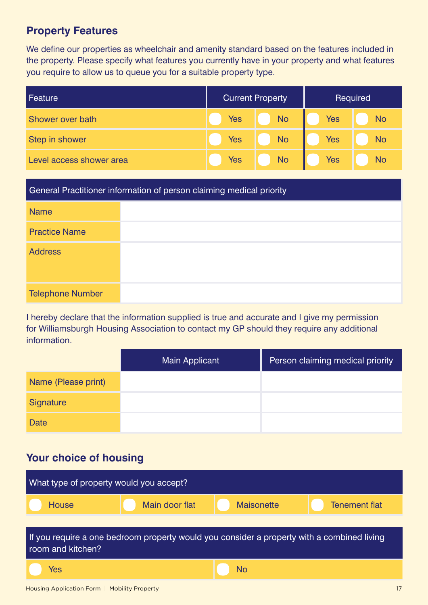#### **Property Features**

We define our properties as wheelchair and amenity standard based on the features included in the property. Please specify what features you currently have in your property and what features you require to allow us to queue you for a suitable property type.

| Feature                  |            | <b>Current Property</b> |            | Required  |
|--------------------------|------------|-------------------------|------------|-----------|
| Shower over bath         | <b>Yes</b> | <b>No</b>               | <b>Yes</b> | <b>No</b> |
| Step in shower           | <b>Yes</b> | <b>No</b>               | <b>Yes</b> | <b>No</b> |
| Level access shower area | <b>Yes</b> | <b>No</b>               | <b>Yes</b> | <b>No</b> |

| General Practitioner information of person claiming medical priority |  |  |  |  |  |  |  |  |
|----------------------------------------------------------------------|--|--|--|--|--|--|--|--|
| <b>Name</b>                                                          |  |  |  |  |  |  |  |  |
| <b>Practice Name</b>                                                 |  |  |  |  |  |  |  |  |
| <b>Address</b>                                                       |  |  |  |  |  |  |  |  |
| <b>Telephone Number</b>                                              |  |  |  |  |  |  |  |  |

I hereby declare that the information supplied is true and accurate and I give my permission for Williamsburgh Housing Association to contact my GP should they require any additional information.

|                     | <b>Main Applicant</b> | Person claiming medical priority |
|---------------------|-----------------------|----------------------------------|
| Name (Please print) |                       |                                  |
| Signature           |                       |                                  |
| <b>Date</b>         |                       |                                  |

#### **Your choice of housing**

| What type of property would you accept?                                                                         |                |                   |                      |  |  |  |  |  |  |  |  |
|-----------------------------------------------------------------------------------------------------------------|----------------|-------------------|----------------------|--|--|--|--|--|--|--|--|
| <b>House</b>                                                                                                    | Main door flat | <b>Maisonette</b> | <b>Tenement flat</b> |  |  |  |  |  |  |  |  |
|                                                                                                                 |                |                   |                      |  |  |  |  |  |  |  |  |
| If you require a one bedroom property would you consider a property with a combined living<br>room and kitchen? |                |                   |                      |  |  |  |  |  |  |  |  |
| No<br>Yes                                                                                                       |                |                   |                      |  |  |  |  |  |  |  |  |
|                                                                                                                 |                |                   |                      |  |  |  |  |  |  |  |  |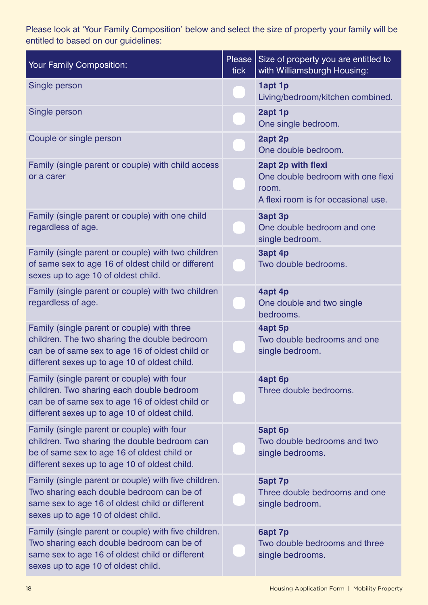Please look at 'Your Family Composition' below and select the size of property your family will be entitled to based on our guidelines:

| Your Family Composition:                                                                                                                                                                        | Please<br>tick | Size of property you are entitled to<br>with Williamsburgh Housing:                                     |
|-------------------------------------------------------------------------------------------------------------------------------------------------------------------------------------------------|----------------|---------------------------------------------------------------------------------------------------------|
| Single person                                                                                                                                                                                   |                | 1apt 1p<br>Living/bedroom/kitchen combined.                                                             |
| Single person                                                                                                                                                                                   |                | 2apt 1p<br>One single bedroom.                                                                          |
| Couple or single person                                                                                                                                                                         |                | 2apt 2p<br>One double bedroom.                                                                          |
| Family (single parent or couple) with child access<br>or a carer                                                                                                                                |                | 2apt 2p with flexi<br>One double bedroom with one flexi<br>room.<br>A flexi room is for occasional use. |
| Family (single parent or couple) with one child<br>regardless of age.                                                                                                                           |                | 3apt 3p<br>One double bedroom and one<br>single bedroom.                                                |
| Family (single parent or couple) with two children<br>of same sex to age 16 of oldest child or different<br>sexes up to age 10 of oldest child.                                                 |                | 3apt 4p<br>Two double bedrooms.                                                                         |
| Family (single parent or couple) with two children<br>regardless of age.                                                                                                                        |                | 4apt 4p<br>One double and two single<br>bedrooms.                                                       |
| Family (single parent or couple) with three<br>children. The two sharing the double bedroom<br>can be of same sex to age 16 of oldest child or<br>different sexes up to age 10 of oldest child. |                | 4apt 5p<br>Two double bedrooms and one<br>single bedroom.                                               |
| Family (single parent or couple) with four<br>children. Two sharing each double bedroom<br>can be of same sex to age 16 of oldest child or<br>different sexes up to age 10 of oldest child.     |                | 4apt 6p<br>Three double bedrooms.                                                                       |
| Family (single parent or couple) with four<br>children. Two sharing the double bedroom can<br>be of same sex to age 16 of oldest child or<br>different sexes up to age 10 of oldest child.      |                | 5apt 6p<br>Two double bedrooms and two<br>single bedrooms.                                              |
| Family (single parent or couple) with five children.<br>Two sharing each double bedroom can be of<br>same sex to age 16 of oldest child or different<br>sexes up to age 10 of oldest child.     |                | 5apt 7p<br>Three double bedrooms and one<br>single bedroom.                                             |
| Family (single parent or couple) with five children.<br>Two sharing each double bedroom can be of<br>same sex to age 16 of oldest child or different<br>sexes up to age 10 of oldest child.     |                | 6apt 7p<br>Two double bedrooms and three<br>single bedrooms.                                            |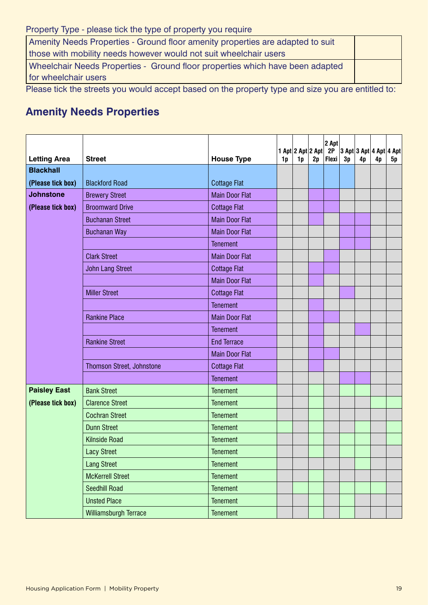Property Type - please tick the type of property you require

| Amenity Needs Properties - Ground floor amenity properties are adapted to suit |  |
|--------------------------------------------------------------------------------|--|
| those with mobility needs however would not suit wheelchair users              |  |
| Wheelchair Needs Properties - Ground floor properties which have been adapted  |  |
| for wheelchair users                                                           |  |

Please tick the streets you would accept based on the property type and size you are entitled to:

# **Amenity Needs Properties**

| <b>Letting Area</b> | <b>Street</b>                | <b>House Type</b>     | 1p | 1 <sub>p</sub> | 2p | 2 Apt<br>1 Apt 2 Apt 2 Apt 2P 3 Apt 3 Apt 4 Apt 4 Apt<br>$ $ Flexi | 3p | 4p | 4p |    |
|---------------------|------------------------------|-----------------------|----|----------------|----|--------------------------------------------------------------------|----|----|----|----|
| <b>Blackhall</b>    |                              |                       |    |                |    |                                                                    |    |    |    | 5p |
| (Please tick box)   | <b>Blackford Road</b>        | <b>Cottage Flat</b>   |    |                |    |                                                                    |    |    |    |    |
| <b>Johnstone</b>    | <b>Brewery Street</b>        | <b>Main Door Flat</b> |    |                |    |                                                                    |    |    |    |    |
| (Please tick box)   | <b>Broomward Drive</b>       | <b>Cottage Flat</b>   |    |                |    |                                                                    |    |    |    |    |
|                     | <b>Buchanan Street</b>       | <b>Main Door Flat</b> |    |                |    |                                                                    |    |    |    |    |
|                     | <b>Buchanan Way</b>          | <b>Main Door Flat</b> |    |                |    |                                                                    |    |    |    |    |
|                     |                              | <b>Tenement</b>       |    |                |    |                                                                    |    |    |    |    |
|                     | <b>Clark Street</b>          | <b>Main Door Flat</b> |    |                |    |                                                                    |    |    |    |    |
|                     | <b>John Lang Street</b>      | <b>Cottage Flat</b>   |    |                |    |                                                                    |    |    |    |    |
|                     |                              | <b>Main Door Flat</b> |    |                |    |                                                                    |    |    |    |    |
|                     | <b>Miller Street</b>         | <b>Cottage Flat</b>   |    |                |    |                                                                    |    |    |    |    |
|                     |                              | <b>Tenement</b>       |    |                |    |                                                                    |    |    |    |    |
|                     | <b>Rankine Place</b>         | <b>Main Door Flat</b> |    |                |    |                                                                    |    |    |    |    |
|                     |                              | <b>Tenement</b>       |    |                |    |                                                                    |    |    |    |    |
|                     | <b>Rankine Street</b>        | <b>End Terrace</b>    |    |                |    |                                                                    |    |    |    |    |
|                     |                              | <b>Main Door Flat</b> |    |                |    |                                                                    |    |    |    |    |
|                     | Thomson Street, Johnstone    | <b>Cottage Flat</b>   |    |                |    |                                                                    |    |    |    |    |
|                     |                              | <b>Tenement</b>       |    |                |    |                                                                    |    |    |    |    |
| <b>Paisley East</b> | <b>Bank Street</b>           | <b>Tenement</b>       |    |                |    |                                                                    |    |    |    |    |
| (Please tick box)   | <b>Clarence Street</b>       | <b>Tenement</b>       |    |                |    |                                                                    |    |    |    |    |
|                     | <b>Cochran Street</b>        | <b>Tenement</b>       |    |                |    |                                                                    |    |    |    |    |
|                     | <b>Dunn Street</b>           | <b>Tenement</b>       |    |                |    |                                                                    |    |    |    |    |
|                     | <b>Kilnside Road</b>         | <b>Tenement</b>       |    |                |    |                                                                    |    |    |    |    |
|                     | <b>Lacy Street</b>           | <b>Tenement</b>       |    |                |    |                                                                    |    |    |    |    |
|                     | <b>Lang Street</b>           | <b>Tenement</b>       |    |                |    |                                                                    |    |    |    |    |
|                     | <b>McKerrell Street</b>      | <b>Tenement</b>       |    |                |    |                                                                    |    |    |    |    |
|                     | <b>Seedhill Road</b>         | <b>Tenement</b>       |    |                |    |                                                                    |    |    |    |    |
|                     | <b>Unsted Place</b>          | <b>Tenement</b>       |    |                |    |                                                                    |    |    |    |    |
|                     | <b>Williamsburgh Terrace</b> | <b>Tenement</b>       |    |                |    |                                                                    |    |    |    |    |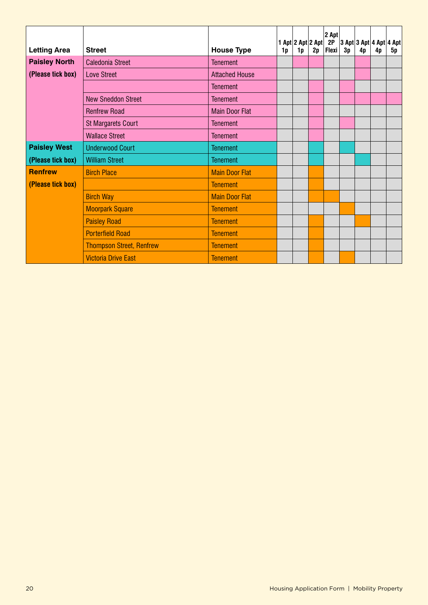|                      |                                 |                       |    | 1 Apt $ 2$ Apt $ 2$ Apt $ $ |    | $ 2$ Apt<br>2P |    |    |    | $ 3$ Apt $ 3$ Apt $ 4$ Apt $ 4$ Apt $ $ |
|----------------------|---------------------------------|-----------------------|----|-----------------------------|----|----------------|----|----|----|-----------------------------------------|
| <b>Letting Area</b>  | <b>Street</b>                   | <b>House Type</b>     | 1p | 1 <sub>p</sub>              | 2p | Flexi          | 3p | 4p | 4p | 5p                                      |
| <b>Paisley North</b> | <b>Caledonia Street</b>         | <b>Tenement</b>       |    |                             |    |                |    |    |    |                                         |
| (Please tick box)    | <b>Love Street</b>              | <b>Attached House</b> |    |                             |    |                |    |    |    |                                         |
|                      |                                 | <b>Tenement</b>       |    |                             |    |                |    |    |    |                                         |
|                      | <b>New Sneddon Street</b>       | <b>Tenement</b>       |    |                             |    |                |    |    |    |                                         |
|                      | <b>Renfrew Road</b>             | <b>Main Door Flat</b> |    |                             |    |                |    |    |    |                                         |
|                      | <b>St Margarets Court</b>       | <b>Tenement</b>       |    |                             |    |                |    |    |    |                                         |
|                      | <b>Wallace Street</b>           | <b>Tenement</b>       |    |                             |    |                |    |    |    |                                         |
| <b>Paisley West</b>  | <b>Underwood Court</b>          | <b>Tenement</b>       |    |                             |    |                |    |    |    |                                         |
| (Please tick box)    | <b>William Street</b>           | <b>Tenement</b>       |    |                             |    |                |    |    |    |                                         |
| <b>Renfrew</b>       | <b>Birch Place</b>              | <b>Main Door Flat</b> |    |                             |    |                |    |    |    |                                         |
| (Please tick box)    |                                 | <b>Tenement</b>       |    |                             |    |                |    |    |    |                                         |
|                      | <b>Birch Way</b>                | <b>Main Door Flat</b> |    |                             |    |                |    |    |    |                                         |
|                      | <b>Moorpark Square</b>          | <b>Tenement</b>       |    |                             |    |                |    |    |    |                                         |
|                      | <b>Paisley Road</b>             | <b>Tenement</b>       |    |                             |    |                |    |    |    |                                         |
|                      | <b>Porterfield Road</b>         | <b>Tenement</b>       |    |                             |    |                |    |    |    |                                         |
|                      | <b>Thompson Street, Renfrew</b> | <b>Tenement</b>       |    |                             |    |                |    |    |    |                                         |
|                      | <b>Victoria Drive East</b>      | <b>Tenement</b>       |    |                             |    |                |    |    |    |                                         |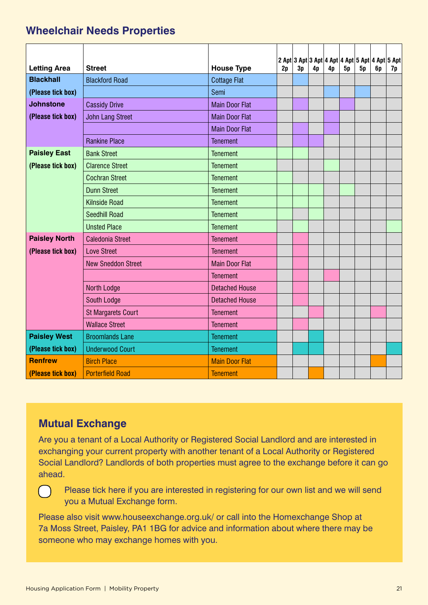#### **Wheelchair Needs Properties**

|                      |                           |                       |    |    |    |    |    |    |    | 2 Apt 3 Apt 3 Apt 4 Apt 4 Apt 5 Apt 4 Apt 5 Apt |
|----------------------|---------------------------|-----------------------|----|----|----|----|----|----|----|-------------------------------------------------|
| <b>Letting Area</b>  | <b>Street</b>             | <b>House Type</b>     | 2p | 3p | 4p | 4p | 5p | 5p | 6p | 7p                                              |
| <b>Blackhall</b>     | <b>Blackford Road</b>     | <b>Cottage Flat</b>   |    |    |    |    |    |    |    |                                                 |
| (Please tick box)    |                           | Semi                  |    |    |    |    |    |    |    |                                                 |
| <b>Johnstone</b>     | <b>Cassidy Drive</b>      | <b>Main Door Flat</b> |    |    |    |    |    |    |    |                                                 |
| (Please tick box)    | <b>John Lang Street</b>   | <b>Main Door Flat</b> |    |    |    |    |    |    |    |                                                 |
|                      |                           | <b>Main Door Flat</b> |    |    |    |    |    |    |    |                                                 |
|                      | <b>Rankine Place</b>      | <b>Tenement</b>       |    |    |    |    |    |    |    |                                                 |
| <b>Paisley East</b>  | <b>Bank Street</b>        | <b>Tenement</b>       |    |    |    |    |    |    |    |                                                 |
| (Please tick box)    | <b>Clarence Street</b>    | <b>Tenement</b>       |    |    |    |    |    |    |    |                                                 |
|                      | <b>Cochran Street</b>     | <b>Tenement</b>       |    |    |    |    |    |    |    |                                                 |
|                      | <b>Dunn Street</b>        | <b>Tenement</b>       |    |    |    |    |    |    |    |                                                 |
|                      | <b>Kilnside Road</b>      | <b>Tenement</b>       |    |    |    |    |    |    |    |                                                 |
|                      | <b>Seedhill Road</b>      | <b>Tenement</b>       |    |    |    |    |    |    |    |                                                 |
|                      | <b>Unsted Place</b>       | <b>Tenement</b>       |    |    |    |    |    |    |    |                                                 |
| <b>Paisley North</b> | <b>Caledonia Street</b>   | <b>Tenement</b>       |    |    |    |    |    |    |    |                                                 |
| (Please tick box)    | <b>Love Street</b>        | <b>Tenement</b>       |    |    |    |    |    |    |    |                                                 |
|                      | <b>New Sneddon Street</b> | <b>Main Door Flat</b> |    |    |    |    |    |    |    |                                                 |
|                      |                           | <b>Tenement</b>       |    |    |    |    |    |    |    |                                                 |
|                      | North Lodge               | <b>Detached House</b> |    |    |    |    |    |    |    |                                                 |
|                      | South Lodge               | <b>Detached House</b> |    |    |    |    |    |    |    |                                                 |
|                      | <b>St Margarets Court</b> | <b>Tenement</b>       |    |    |    |    |    |    |    |                                                 |
|                      | <b>Wallace Street</b>     | <b>Tenement</b>       |    |    |    |    |    |    |    |                                                 |
| <b>Paisley West</b>  | <b>Broomlands Lane</b>    | <b>Tenement</b>       |    |    |    |    |    |    |    |                                                 |
| (Please tick box)    | <b>Underwood Court</b>    | <b>Tenement</b>       |    |    |    |    |    |    |    |                                                 |
| <b>Renfrew</b>       | <b>Birch Place</b>        | <b>Main Door Flat</b> |    |    |    |    |    |    |    |                                                 |
| (Please tick box)    | <b>Porterfield Road</b>   | <b>Tenement</b>       |    |    |    |    |    |    |    |                                                 |

#### **Mutual Exchange**

Are you a tenant of a Local Authority or Registered Social Landlord and are interested in exchanging your current property with another tenant of a Local Authority or Registered Social Landlord? Landlords of both properties must agree to the exchange before it can go ahead.



Please tick here if you are interested in registering for our own list and we will send you a Mutual Exchange form.

Please also visit www.houseexchange.org.uk/ or call into the Homexchange Shop at 7a Moss Street, Paisley, PA1 1BG for advice and information about where there may be someone who may exchange homes with you.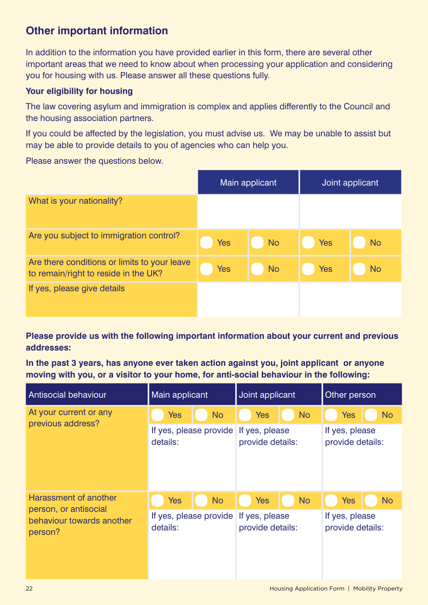#### **Other important information**

In addition to the information you have provided earlier in this form, there are several other important areas that we need to know about when processing your application and considering you for housing with us. Please answer all these questions fully.

#### **Your eligibility for housing**

The law covering asylum and immigration is complex and applies differently to the Council and the housing association partners.

If you could be affected by the legislation, you must advise us. We may be unable to assist but may be able to provide details to you of agencies who can help you.

Please answer the questions below.

|                                                                                      |            | Main applicant |            | Joint applicant |
|--------------------------------------------------------------------------------------|------------|----------------|------------|-----------------|
| What is your nationality?                                                            |            |                |            |                 |
| Are you subject to immigration control?                                              | <b>Yes</b> | <b>No</b>      | <b>Yes</b> | <b>No</b>       |
| Are there conditions or limits to your leave<br>to remain/right to reside in the UK? | <b>Yes</b> | <b>No</b>      | <b>Yes</b> | <b>No</b>       |
| If yes, please give details                                                          |            |                |            |                 |

**Please provide us with the following important information about your current and previous addresses:**

**In the past 3 years, has anyone ever taken action against you, joint applicant or anyone moving with you, or a visitor to your home, for anti-social behaviour in the following:**

| <b>Antisocial behaviour</b>                                   | Main applicant                                    |                                       | Joint applicant         |           | Other person                       |           |  |
|---------------------------------------------------------------|---------------------------------------------------|---------------------------------------|-------------------------|-----------|------------------------------------|-----------|--|
| At your current or any<br>previous address?                   | <b>Yes</b>                                        | <b>No</b>                             | <b>Yes</b><br><b>No</b> |           | Yes                                | <b>No</b> |  |
|                                                               | If yes, please provide If yes, please<br>details: |                                       | provide details:        |           | If yes, please<br>provide details: |           |  |
| Harassment of another                                         | <b>Yes</b>                                        | <b>No</b>                             | <b>Yes</b>              | <b>No</b> | Yes                                | <b>No</b> |  |
| person, or antisocial<br>behaviour towards another<br>person? | details:                                          | If yes, please provide If yes, please | provide details:        |           | If yes, please<br>provide details: |           |  |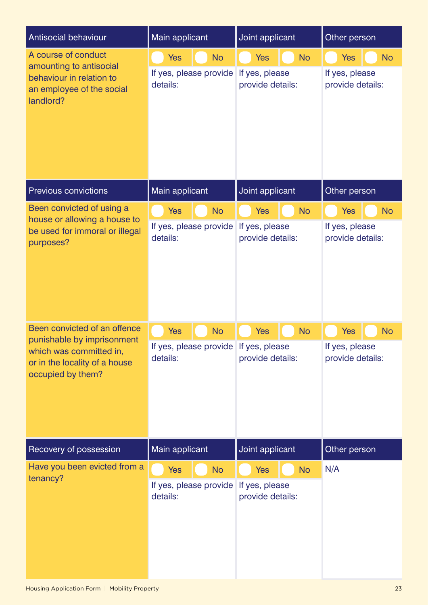| Antisocial behaviour                                                                                                                        | Main applicant                                                               |                                                    | Joint applicant                                  |           | Other person                                     |           |  |  |
|---------------------------------------------------------------------------------------------------------------------------------------------|------------------------------------------------------------------------------|----------------------------------------------------|--------------------------------------------------|-----------|--------------------------------------------------|-----------|--|--|
| A course of conduct<br>amounting to antisocial<br>behaviour in relation to<br>an employee of the social<br>landlord?                        | <b>Yes</b><br>details:                                                       | <b>No</b><br>If yes, please provide If yes, please | <b>Yes</b><br>provide details:                   | <b>No</b> | <b>Yes</b><br>If yes, please<br>provide details: | <b>No</b> |  |  |
| <b>Previous convictions</b>                                                                                                                 | Main applicant                                                               |                                                    | Joint applicant                                  |           | Other person                                     |           |  |  |
| Been convicted of using a<br>house or allowing a house to<br>be used for immoral or illegal<br>purposes?                                    | <b>Yes</b><br>details:                                                       | <b>No</b><br>If yes, please provide                | <b>Yes</b><br>If yes, please<br>provide details: | <b>No</b> | <b>Yes</b><br>If yes, please<br>provide details: | <b>No</b> |  |  |
| Been convicted of an offence<br>punishable by imprisonment<br>which was committed in,<br>or in the locality of a house<br>occupied by them? | <b>Yes</b><br><b>No</b><br>If yes, please provide If yes, please<br>details: |                                                    | <b>No</b><br><b>Yes</b><br>provide details:      |           | <b>Yes</b><br>If yes, please<br>provide details: | <b>No</b> |  |  |
| Recovery of possession                                                                                                                      | Main applicant                                                               |                                                    | Joint applicant                                  |           | Other person                                     |           |  |  |
| Have you been evicted from a<br>tenancy?                                                                                                    | <b>Yes</b><br>details:                                                       | <b>No</b><br>If yes, please provide If yes, please | <b>Yes</b><br>provide details:                   | <b>No</b> | N/A                                              |           |  |  |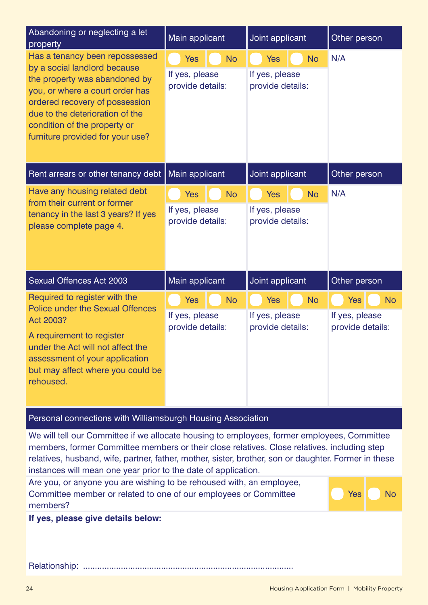| Abandoning or neglecting a let<br>property                                                                                                         | Main applicant                            | Joint applicant<br>Other person |                                                  |           |                                    |
|----------------------------------------------------------------------------------------------------------------------------------------------------|-------------------------------------------|---------------------------------|--------------------------------------------------|-----------|------------------------------------|
| Has a tenancy been repossessed<br>by a social landlord because<br>the property was abandoned by<br>you, or where a court order has                 | Yes<br>If yes, please<br>provide details: | <b>No</b>                       | <b>Yes</b><br>If yes, please<br>provide details: | <b>No</b> | N/A                                |
| ordered recovery of possession<br>due to the deterioration of the<br>condition of the property or<br>furniture provided for your use?              |                                           |                                 |                                                  |           |                                    |
| Rent arrears or other tenancy debt                                                                                                                 | Main applicant                            |                                 | Joint applicant                                  |           | Other person                       |
| Have any housing related debt<br>from their current or former                                                                                      | <b>Yes</b>                                | <b>No</b>                       | <b>Yes</b>                                       | <b>No</b> | N/A                                |
| tenancy in the last 3 years? If yes<br>please complete page 4.                                                                                     | If yes, please<br>provide details:        |                                 | If yes, please<br>provide details:               |           |                                    |
| <b>Sexual Offences Act 2003</b>                                                                                                                    | Main applicant                            |                                 | Joint applicant                                  |           | Other person                       |
| Required to register with the<br><b>Police under the Sexual Offences</b>                                                                           | <b>Yes</b>                                | <b>No</b>                       | <b>Yes</b>                                       | <b>No</b> | <b>No</b><br><b>Yes</b>            |
| Act 2003?                                                                                                                                          | If yes, please<br>provide details:        |                                 | If yes, please<br>provide details:               |           | If yes, please<br>provide details: |
| A requirement to register<br>under the Act will not affect the<br>assessment of your application<br>but may affect where you could be<br>rehoused. |                                           |                                 |                                                  |           |                                    |

#### Personal connections with Williamsburgh Housing Association

We will tell our Committee if we allocate housing to employees, former employees, Committee members, former Committee members or their close relatives. Close relatives, including step relatives, husband, wife, partner, father, mother, sister, brother, son or daughter. Former in these instances will mean one year prior to the date of application.

Are you, or anyone you are wishing to be rehoused with, an employee, Committee member or related to one of our employees or Committee members?



#### **If yes, please give details below:**

#### Relationship: .........................................................................................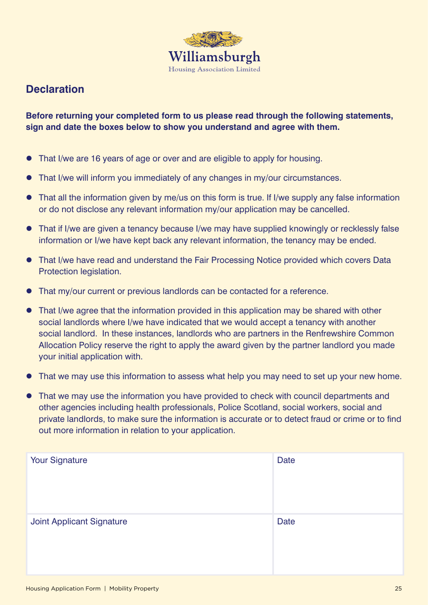

#### **Declaration**

#### **Before returning your completed form to us please read through the following statements, sign and date the boxes below to show you understand and agree with them.**

- That I/we are 16 years of age or over and are eligible to apply for housing.
- That I/we will inform you immediately of any changes in my/our circumstances.
- That all the information given by me/us on this form is true. If I/we supply any false information or do not disclose any relevant information my/our application may be cancelled.
- That if I/we are given a tenancy because I/we may have supplied knowingly or recklessly false information or I/we have kept back any relevant information, the tenancy may be ended.
- That I/we have read and understand the Fair Processing Notice provided which covers Data Protection legislation.
- That my/our current or previous landlords can be contacted for a reference.
- That I/we agree that the information provided in this application may be shared with other social landlords where I/we have indicated that we would accept a tenancy with another social landlord. In these instances, landlords who are partners in the Renfrewshire Common Allocation Policy reserve the right to apply the award given by the partner landlord you made your initial application with.
- That we may use this information to assess what help you may need to set up your new home.
- That we may use the information you have provided to check with council departments and other agencies including health professionals, Police Scotland, social workers, social and private landlords, to make sure the information is accurate or to detect fraud or crime or to find out more information in relation to your application.

| <b>Your Signature</b>            | Date        |
|----------------------------------|-------------|
| <b>Joint Applicant Signature</b> | <b>Date</b> |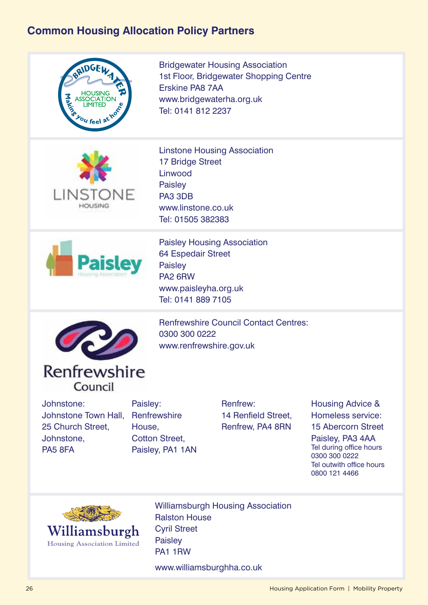#### **Common Housing Allocation Policy Partners**

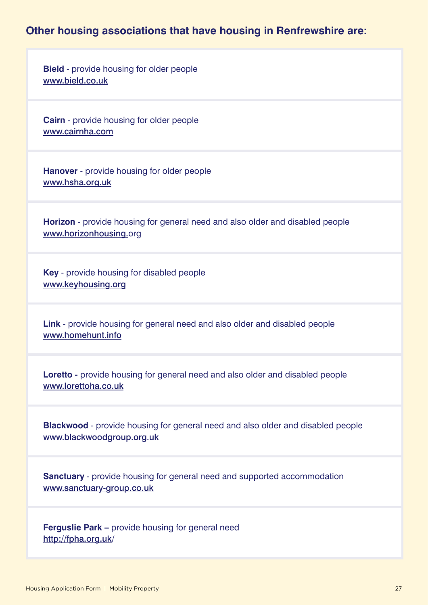#### **Other housing associations that have housing in Renfrewshire are:**

**Bield** - provide housing for older people www.bield.co.uk

**Cairn** - provide housing for older people www.cairnha.com

**Hanover** - provide housing for older people www.hsha.org.uk

**Horizon** - provide housing for general need and also older and disabled people www.horizonhousing.org

**Key** - provide housing for disabled people www.keyhousing.org

**Link** - provide housing for general need and also older and disabled people www.homehunt.info

**Loretto -** provide housing for general need and also older and disabled people www.lorettoha.co.uk

**Blackwood** - provide housing for general need and also older and disabled people www.blackwoodgroup.org.uk

**Sanctuary** - provide housing for general need and supported accommodation www.sanctuary-group.co.uk

**Ferguslie Park –** provide housing for general need http://fpha.org.uk/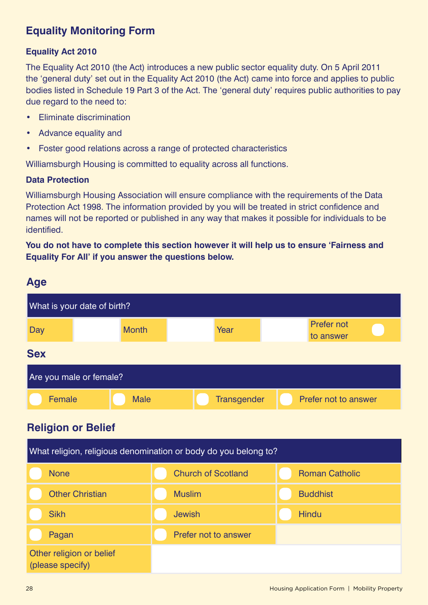# **Equality Monitoring Form**

#### **Equality Act 2010**

The Equality Act 2010 (the Act) introduces a new public sector equality duty. On 5 April 2011 the 'general duty' set out in the Equality Act 2010 (the Act) came into force and applies to public bodies listed in Schedule 19 Part 3 of the Act. The 'general duty' requires public authorities to pay due regard to the need to:

- Eliminate discrimination
- Advance equality and
- Foster good relations across a range of protected characteristics

Williamsburgh Housing is committed to equality across all functions.

#### **Data Protection**

Williamsburgh Housing Association will ensure compliance with the requirements of the Data Protection Act 1998. The information provided by you will be treated in strict confidence and names will not be reported or published in any way that makes it possible for individuals to be identified.

**You do not have to complete this section however it will help us to ensure 'Fairness and Equality For All' if you answer the questions below.**



#### 28 Housing Application Form | Mobility Property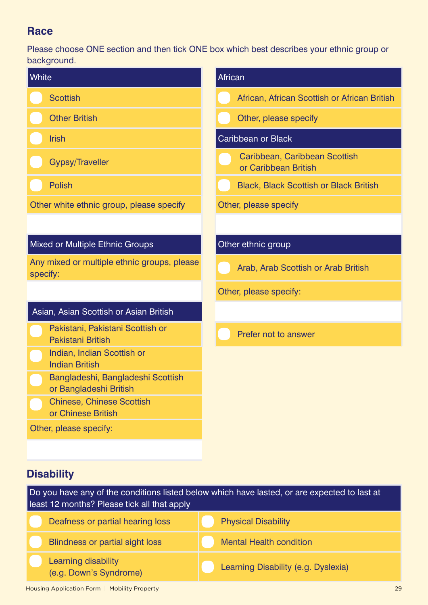#### **Race**

Please choose ONE section and then tick ONE box which best describes your ethnic group or background.

| White                                                        | African                                               |  |
|--------------------------------------------------------------|-------------------------------------------------------|--|
| <b>Scottish</b>                                              | African, African Scottish or African British          |  |
| <b>Other British</b>                                         | Other, please specify                                 |  |
| <b>Irish</b>                                                 | Caribbean or Black                                    |  |
| <b>Gypsy/Traveller</b>                                       | Caribbean, Caribbean Scottish<br>or Caribbean British |  |
| <b>Polish</b>                                                | <b>Black, Black Scottish or Black British</b>         |  |
| Other white ethnic group, please specify                     | Other, please specify                                 |  |
|                                                              |                                                       |  |
| Mixed or Multiple Ethnic Groups                              | Other ethnic group                                    |  |
| Any mixed or multiple ethnic groups, please<br>specify:      | Arab, Arab Scottish or Arab British                   |  |
|                                                              | Other, please specify:                                |  |
| Asian, Asian Scottish or Asian British                       |                                                       |  |
| Pakistani, Pakistani Scottish or<br><b>Pakistani British</b> | Prefer not to answer                                  |  |
| Indian, Indian Scottish or<br><b>Indian British</b>          |                                                       |  |
| Bangladeshi, Bangladeshi Scottish<br>or Bangladeshi British  |                                                       |  |
| <b>Chinese, Chinese Scottish</b><br>or Chinese British       |                                                       |  |
| Other, please specify:                                       |                                                       |  |

# **Disability**

| Do you have any of the conditions listed below which have lasted, or are expected to last at<br>least 12 months? Please tick all that apply |                                     |  |  |  |
|---------------------------------------------------------------------------------------------------------------------------------------------|-------------------------------------|--|--|--|
| Deafness or partial hearing loss                                                                                                            | <b>Physical Disability</b>          |  |  |  |
| <b>Blindness or partial sight loss</b>                                                                                                      | <b>Mental Health condition</b>      |  |  |  |
| <b>Learning disability</b><br>(e.g. Down's Syndrome)                                                                                        | Learning Disability (e.g. Dyslexia) |  |  |  |

Housing Application Form | Mobility Property 29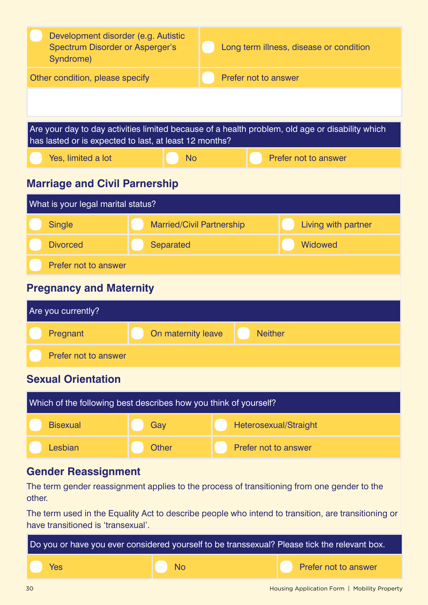| Development disorder (e.g. Autistic<br>Spectrum Disorder or Asperger's<br>Syndrome)                                                                       |                                      | Long term illness, disease or condition |                       |  |  |
|-----------------------------------------------------------------------------------------------------------------------------------------------------------|--------------------------------------|-----------------------------------------|-----------------------|--|--|
| Other condition, please specify                                                                                                                           | Prefer not to answer                 |                                         |                       |  |  |
|                                                                                                                                                           |                                      |                                         |                       |  |  |
| Are your day to day activities limited because of a health problem, old age or disability which<br>has lasted or is expected to last, at least 12 months? |                                      |                                         |                       |  |  |
| Yes, limited a lot                                                                                                                                        | <b>No</b>                            |                                         | Prefer not to answer  |  |  |
| <b>Marriage and Civil Parnership</b>                                                                                                                      |                                      |                                         |                       |  |  |
| What is your legal marital status?                                                                                                                        |                                      |                                         |                       |  |  |
| <b>Single</b>                                                                                                                                             | <b>Married/Civil Partnership</b>     |                                         | Living with partner   |  |  |
| <b>Divorced</b>                                                                                                                                           | Separated                            |                                         | Widowed               |  |  |
| Prefer not to answer                                                                                                                                      |                                      |                                         |                       |  |  |
| <b>Pregnancy and Maternity</b>                                                                                                                            |                                      |                                         |                       |  |  |
| Are you currently?                                                                                                                                        |                                      |                                         |                       |  |  |
| Pregnant                                                                                                                                                  | On maternity leave<br><b>Neither</b> |                                         |                       |  |  |
| Prefer not to answer                                                                                                                                      |                                      |                                         |                       |  |  |
| <b>Sexual Orientation</b>                                                                                                                                 |                                      |                                         |                       |  |  |
| Which of the following best describes how you think of yourself?                                                                                          |                                      |                                         |                       |  |  |
| <b>Bisexual</b>                                                                                                                                           | Gay                                  |                                         | Heterosexual/Straight |  |  |
| Lesbian                                                                                                                                                   | <b>Other</b>                         | Prefer not to answer                    |                       |  |  |
| <b>Gender Reassignment</b><br>The term gender reassignment applies to the process of transitioning from one gender to the<br>other.                       |                                      |                                         |                       |  |  |
| The term used in the Equality Act to describe people who intend to transition, are transitioning or<br>have transitioned is 'transexual'.                 |                                      |                                         |                       |  |  |
| Do you or have you ever considered yourself to be transsexual? Please tick the relevant box.                                                              |                                      |                                         |                       |  |  |
| <b>Yes</b>                                                                                                                                                | <b>No</b>                            |                                         | Prefer not to answer  |  |  |